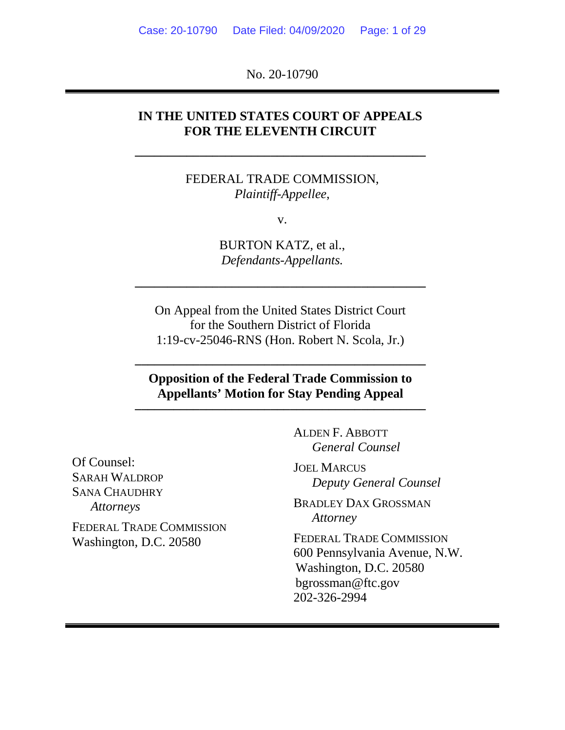No. 20-10790

## **IN THE UNITED STATES COURT OF APPEALS FOR THE ELEVENTH CIRCUIT**

**–––––––––––––––––––––––––––––––––––––––––––––**

FEDERAL TRADE COMMISSION, *Plaintiff-Appellee*,

v.

BURTON KATZ, et al., *Defendants-Appellants.*

On Appeal from the United States District Court for the Southern District of Florida 1:19-cv-25046-RNS (Hon. Robert N. Scola, Jr.)

**–––––––––––––––––––––––––––––––––––––––––––––**

**Opposition of the Federal Trade Commission to Appellants' Motion for Stay Pending Appeal**

**–––––––––––––––––––––––––––––––––––––––––––––**

**–––––––––––––––––––––––––––––––––––––––––––––**

Of Counsel: SARAH WALDROP SANA CHAUDHRY *Attorneys*

FEDERAL TRADE COMMISSION Washington, D.C. 20580

ALDEN F. ABBOTT *General Counsel*

JOEL MARCUS *Deputy General Counsel*

BRADLEY DAX GROSSMAN *Attorney*

FEDERAL TRADE COMMISSION 600 Pennsylvania Avenue, N.W. Washington, D.C. 20580 bgrossman@ftc.gov 202-326-2994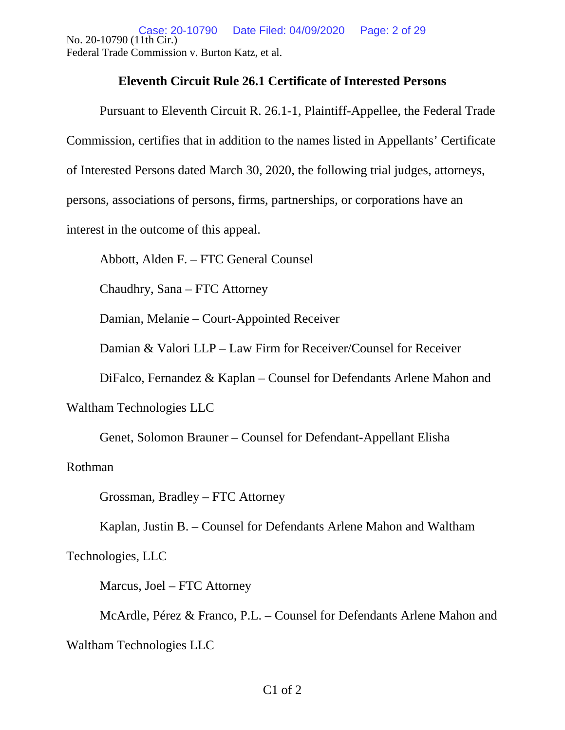No. 20-10790 (11th Cir.) Federal Trade Commission v. Burton Katz, et al. Case: 20-10790 Date Filed: 04/09/2020 Page: 2 of 29

### **Eleventh Circuit Rule 26.1 Certificate of Interested Persons**

Pursuant to Eleventh Circuit R. 26.1-1, Plaintiff-Appellee, the Federal Trade Commission, certifies that in addition to the names listed in Appellants' Certificate of Interested Persons dated March 30, 2020, the following trial judges, attorneys, persons, associations of persons, firms, partnerships, or corporations have an interest in the outcome of this appeal.

Abbott, Alden F. – FTC General Counsel

Chaudhry, Sana – FTC Attorney

Damian, Melanie – Court-Appointed Receiver

Damian & Valori LLP – Law Firm for Receiver/Counsel for Receiver

DiFalco, Fernandez & Kaplan – Counsel for Defendants Arlene Mahon and

Waltham Technologies LLC

Genet, Solomon Brauner – Counsel for Defendant-Appellant Elisha

### Rothman

Grossman, Bradley – FTC Attorney

Kaplan, Justin B. – Counsel for Defendants Arlene Mahon and Waltham

Technologies, LLC

Marcus, Joel – FTC Attorney

McArdle, Pérez & Franco, P.L. – Counsel for Defendants Arlene Mahon and Waltham Technologies LLC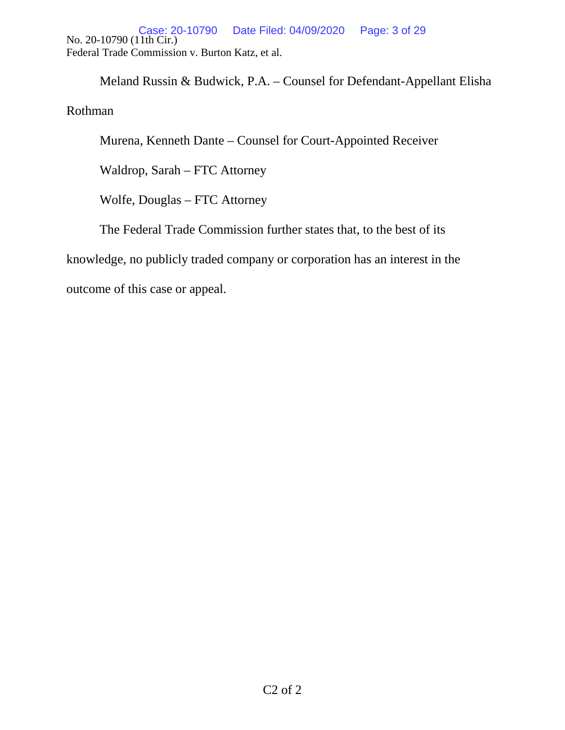No. 20-10790 (11th Cir.) Federal Trade Commission v. Burton Katz, et al. Case: 20-10790 Date Filed: 04/09/2020 Page: 3 of 29

Meland Russin & Budwick, P.A. – Counsel for Defendant-Appellant Elisha

Rothman

Murena, Kenneth Dante – Counsel for Court-Appointed Receiver

Waldrop, Sarah – FTC Attorney

Wolfe, Douglas – FTC Attorney

The Federal Trade Commission further states that, to the best of its

knowledge, no publicly traded company or corporation has an interest in the

outcome of this case or appeal.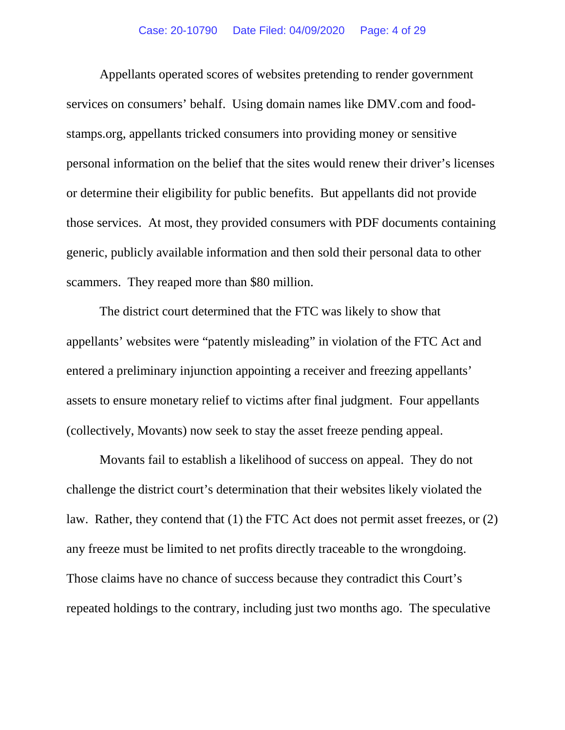Appellants operated scores of websites pretending to render government services on consumers' behalf. Using domain names like DMV.com and foodstamps.org, appellants tricked consumers into providing money or sensitive personal information on the belief that the sites would renew their driver's licenses or determine their eligibility for public benefits. But appellants did not provide those services. At most, they provided consumers with PDF documents containing generic, publicly available information and then sold their personal data to other scammers. They reaped more than \$80 million.

The district court determined that the FTC was likely to show that appellants' websites were "patently misleading" in violation of the FTC Act and entered a preliminary injunction appointing a receiver and freezing appellants' assets to ensure monetary relief to victims after final judgment. Four appellants (collectively, Movants) now seek to stay the asset freeze pending appeal.

Movants fail to establish a likelihood of success on appeal. They do not challenge the district court's determination that their websites likely violated the law. Rather, they contend that (1) the FTC Act does not permit asset freezes, or (2) any freeze must be limited to net profits directly traceable to the wrongdoing. Those claims have no chance of success because they contradict this Court's repeated holdings to the contrary, including just two months ago. The speculative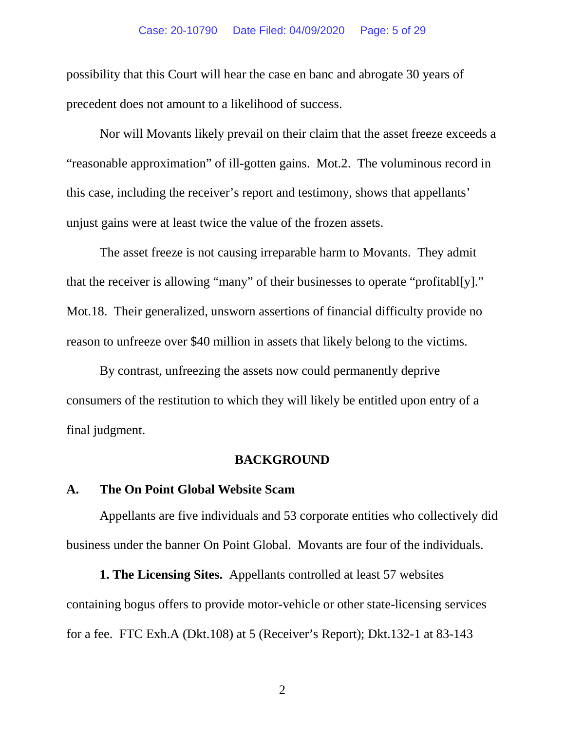#### Case: 20-10790 Date Filed: 04/09/2020 Page: 5 of 29

possibility that this Court will hear the case en banc and abrogate 30 years of precedent does not amount to a likelihood of success.

Nor will Movants likely prevail on their claim that the asset freeze exceeds a "reasonable approximation" of ill-gotten gains. Mot.2. The voluminous record in this case, including the receiver's report and testimony, shows that appellants' unjust gains were at least twice the value of the frozen assets.

The asset freeze is not causing irreparable harm to Movants. They admit that the receiver is allowing "many" of their businesses to operate "profitabl[y]." Mot.18. Their generalized, unsworn assertions of financial difficulty provide no reason to unfreeze over \$40 million in assets that likely belong to the victims.

By contrast, unfreezing the assets now could permanently deprive consumers of the restitution to which they will likely be entitled upon entry of a final judgment.

#### **BACKGROUND**

### **A. The On Point Global Website Scam**

Appellants are five individuals and 53 corporate entities who collectively did business under the banner On Point Global. Movants are four of the individuals.

**1. The Licensing Sites.** Appellants controlled at least 57 websites containing bogus offers to provide motor-vehicle or other state-licensing services for a fee. FTC Exh.A (Dkt.108) at 5 (Receiver's Report); Dkt.132-1 at 83-143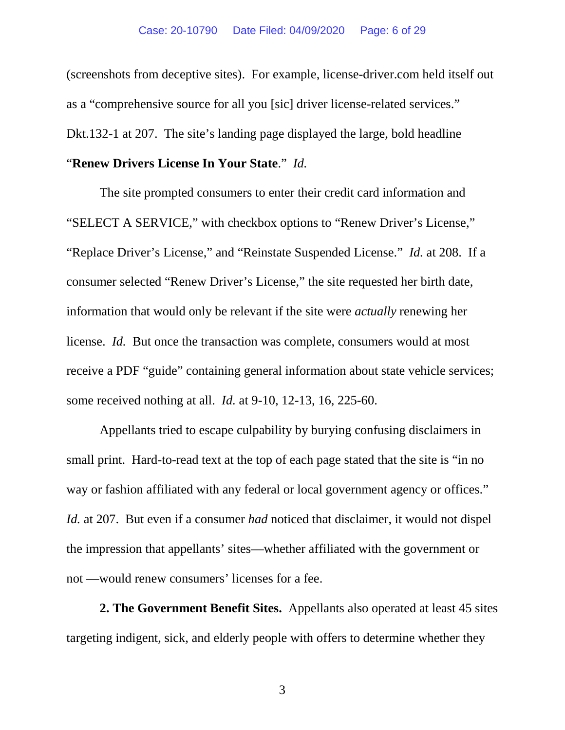(screenshots from deceptive sites). For example, license-driver.com held itself out as a "comprehensive source for all you [sic] driver license-related services." Dkt.132-1 at 207. The site's landing page displayed the large, bold headline

# "**Renew Drivers License In Your State**." *Id.*

The site prompted consumers to enter their credit card information and "SELECT A SERVICE," with checkbox options to "Renew Driver's License," "Replace Driver's License," and "Reinstate Suspended License." *Id.* at 208. If a consumer selected "Renew Driver's License," the site requested her birth date, information that would only be relevant if the site were *actually* renewing her license. *Id.* But once the transaction was complete, consumers would at most receive a PDF "guide" containing general information about state vehicle services; some received nothing at all. *Id.* at 9-10, 12-13, 16, 225-60.

Appellants tried to escape culpability by burying confusing disclaimers in small print. Hard-to-read text at the top of each page stated that the site is "in no way or fashion affiliated with any federal or local government agency or offices." *Id.* at 207. But even if a consumer *had* noticed that disclaimer, it would not dispel the impression that appellants' sites—whether affiliated with the government or not —would renew consumers' licenses for a fee.

**2. The Government Benefit Sites.** Appellants also operated at least 45 sites targeting indigent, sick, and elderly people with offers to determine whether they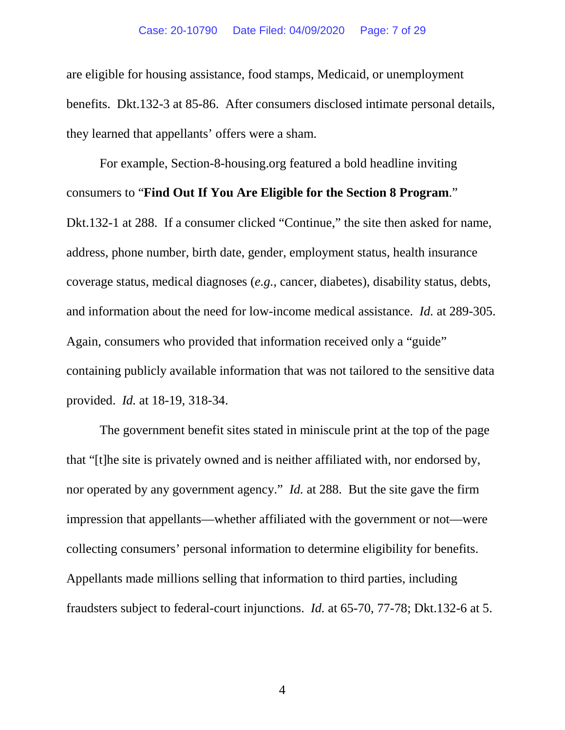are eligible for housing assistance, food stamps, Medicaid, or unemployment benefits. Dkt.132-3 at 85-86. After consumers disclosed intimate personal details, they learned that appellants' offers were a sham.

For example, Section-8-housing.org featured a bold headline inviting consumers to "**Find Out If You Are Eligible for the Section 8 Program**." Dkt.132-1 at 288. If a consumer clicked "Continue," the site then asked for name, address, phone number, birth date, gender, employment status, health insurance coverage status, medical diagnoses (*e.g.*, cancer, diabetes), disability status, debts, and information about the need for low-income medical assistance. *Id.* at 289-305. Again, consumers who provided that information received only a "guide" containing publicly available information that was not tailored to the sensitive data provided. *Id.* at 18-19, 318-34.

The government benefit sites stated in miniscule print at the top of the page that "[t]he site is privately owned and is neither affiliated with, nor endorsed by, nor operated by any government agency." *Id.* at 288. But the site gave the firm impression that appellants—whether affiliated with the government or not—were collecting consumers' personal information to determine eligibility for benefits. Appellants made millions selling that information to third parties, including fraudsters subject to federal-court injunctions. *Id.* at 65-70, 77-78; Dkt.132-6 at 5.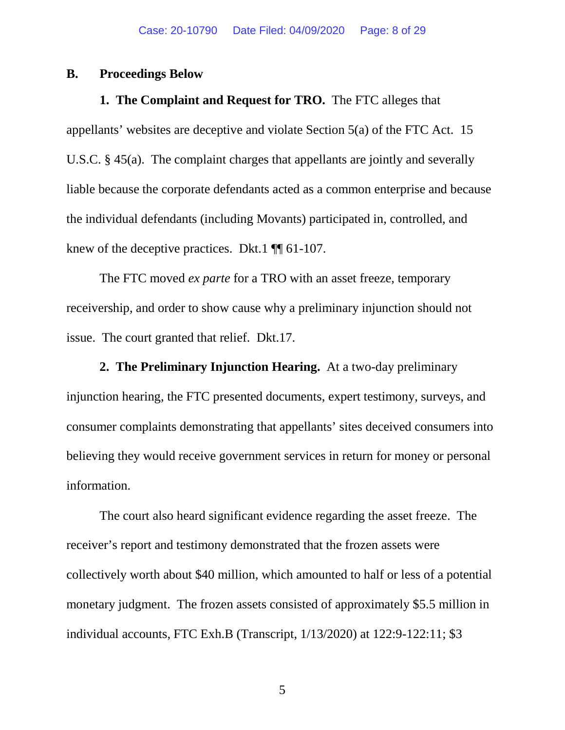### **B. Proceedings Below**

**1. The Complaint and Request for TRO.** The FTC alleges that appellants' websites are deceptive and violate Section 5(a) of the FTC Act. 15 U.S.C. § 45(a). The complaint charges that appellants are jointly and severally liable because the corporate defendants acted as a common enterprise and because the individual defendants (including Movants) participated in, controlled, and knew of the deceptive practices. Dkt.1  $\P$  61-107.

The FTC moved *ex parte* for a TRO with an asset freeze, temporary receivership, and order to show cause why a preliminary injunction should not issue. The court granted that relief. Dkt.17.

**2. The Preliminary Injunction Hearing.** At a two-day preliminary injunction hearing, the FTC presented documents, expert testimony, surveys, and consumer complaints demonstrating that appellants' sites deceived consumers into believing they would receive government services in return for money or personal information.

The court also heard significant evidence regarding the asset freeze. The receiver's report and testimony demonstrated that the frozen assets were collectively worth about \$40 million, which amounted to half or less of a potential monetary judgment. The frozen assets consisted of approximately \$5.5 million in individual accounts, FTC Exh.B (Transcript, 1/13/2020) at 122:9-122:11; \$3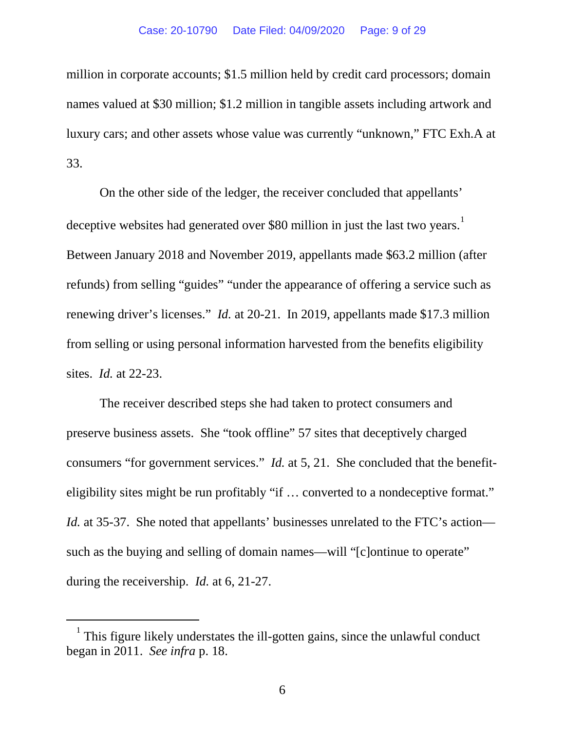million in corporate accounts; \$1.5 million held by credit card processors; domain names valued at \$30 million; \$1.2 million in tangible assets including artwork and luxury cars; and other assets whose value was currently "unknown," FTC Exh.A at 33.

On the other side of the ledger, the receiver concluded that appellants' deceptive websites had generated over \$80 million in just the last two years.<sup>[1](#page-8-0)</sup> Between January 2018 and November 2019, appellants made \$63.2 million (after refunds) from selling "guides" "under the appearance of offering a service such as renewing driver's licenses." *Id.* at 20-21. In 2019, appellants made \$17.3 million from selling or using personal information harvested from the benefits eligibility sites. *Id.* at 22-23.

The receiver described steps she had taken to protect consumers and preserve business assets. She "took offline" 57 sites that deceptively charged consumers "for government services." *Id.* at 5, 21. She concluded that the benefiteligibility sites might be run profitably "if … converted to a nondeceptive format." *Id.* at 35-37. She noted that appellants' businesses unrelated to the FTC's action such as the buying and selling of domain names—will "[c]ontinue to operate" during the receivership. *Id.* at 6, 21-27.

<span id="page-8-0"></span> $1$  This figure likely understates the ill-gotten gains, since the unlawful conduct began in 2011. *See infra* p. 18.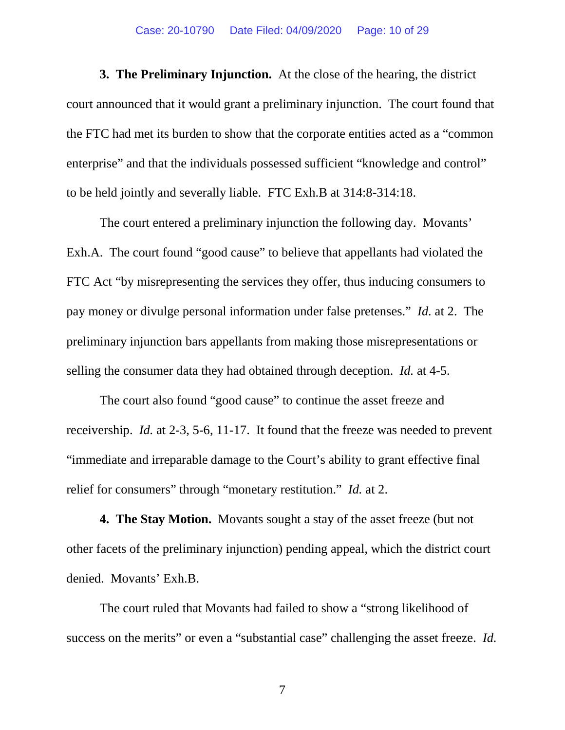#### Case: 20-10790 Date Filed: 04/09/2020 Page: 10 of 29

**3. The Preliminary Injunction.** At the close of the hearing, the district court announced that it would grant a preliminary injunction. The court found that the FTC had met its burden to show that the corporate entities acted as a "common enterprise" and that the individuals possessed sufficient "knowledge and control" to be held jointly and severally liable. FTC Exh.B at 314:8-314:18.

The court entered a preliminary injunction the following day. Movants' Exh.A. The court found "good cause" to believe that appellants had violated the FTC Act "by misrepresenting the services they offer, thus inducing consumers to pay money or divulge personal information under false pretenses." *Id.* at 2. The preliminary injunction bars appellants from making those misrepresentations or selling the consumer data they had obtained through deception. *Id.* at 4-5.

The court also found "good cause" to continue the asset freeze and receivership. *Id.* at 2-3, 5-6, 11-17. It found that the freeze was needed to prevent "immediate and irreparable damage to the Court's ability to grant effective final relief for consumers" through "monetary restitution." *Id.* at 2.

**4. The Stay Motion.** Movants sought a stay of the asset freeze (but not other facets of the preliminary injunction) pending appeal, which the district court denied. Movants' Exh.B.

The court ruled that Movants had failed to show a "strong likelihood of success on the merits" or even a "substantial case" challenging the asset freeze. *Id.*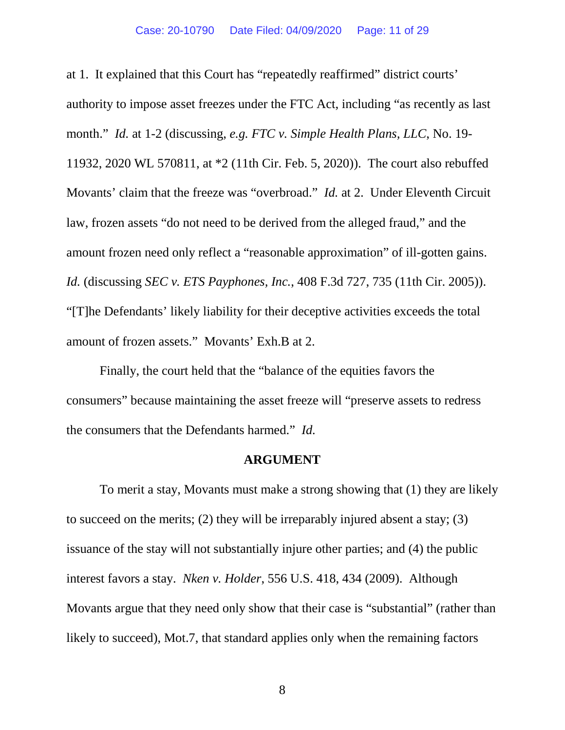at 1. It explained that this Court has "repeatedly reaffirmed" district courts' authority to impose asset freezes under the FTC Act, including "as recently as last month." *Id.* at 1-2 (discussing, *e.g. FTC v. Simple Health Plans, LLC*, No. 19- 11932, 2020 WL 570811, at \*2 (11th Cir. Feb. 5, 2020)). The court also rebuffed Movants' claim that the freeze was "overbroad." *Id.* at 2. Under Eleventh Circuit law, frozen assets "do not need to be derived from the alleged fraud," and the amount frozen need only reflect a "reasonable approximation" of ill-gotten gains. *Id.* (discussing *SEC v. ETS Payphones, Inc.*, 408 F.3d 727, 735 (11th Cir. 2005)). "[T]he Defendants' likely liability for their deceptive activities exceeds the total amount of frozen assets." Movants' Exh.B at 2.

Finally, the court held that the "balance of the equities favors the consumers" because maintaining the asset freeze will "preserve assets to redress the consumers that the Defendants harmed." *Id.*

#### **ARGUMENT**

To merit a stay, Movants must make a strong showing that (1) they are likely to succeed on the merits; (2) they will be irreparably injured absent a stay; (3) issuance of the stay will not substantially injure other parties; and (4) the public interest favors a stay. *Nken v. Holder*, 556 U.S. 418, 434 (2009). Although Movants argue that they need only show that their case is "substantial" (rather than likely to succeed), Mot.7, that standard applies only when the remaining factors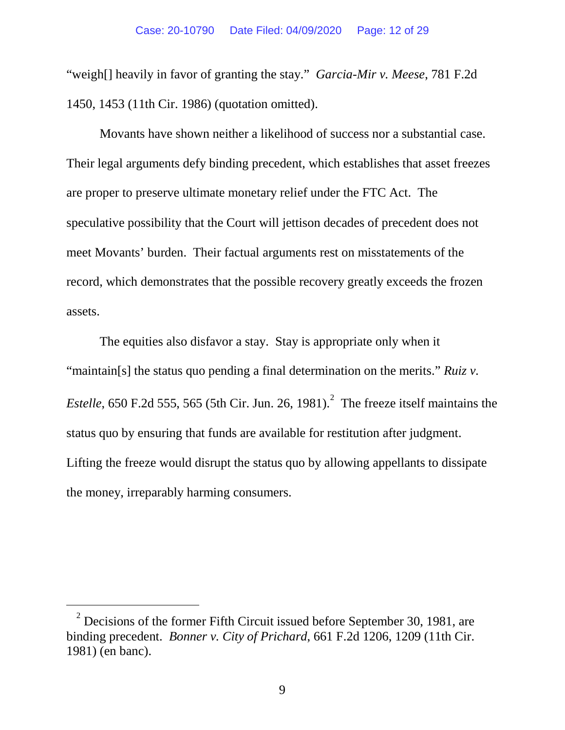"weigh[] heavily in favor of granting the stay." *Garcia-Mir v. Meese*, 781 F.2d 1450, 1453 (11th Cir. 1986) (quotation omitted).

Movants have shown neither a likelihood of success nor a substantial case. Their legal arguments defy binding precedent, which establishes that asset freezes are proper to preserve ultimate monetary relief under the FTC Act. The speculative possibility that the Court will jettison decades of precedent does not meet Movants' burden. Their factual arguments rest on misstatements of the record, which demonstrates that the possible recovery greatly exceeds the frozen assets.

The equities also disfavor a stay. Stay is appropriate only when it "maintain[s] the status quo pending a final determination on the merits." *Ruiz v. Estelle*, 650 F.[2](#page-11-0)d 555, 565 (5th Cir. Jun. 26, 1981).<sup>2</sup> The freeze itself maintains the status quo by ensuring that funds are available for restitution after judgment. Lifting the freeze would disrupt the status quo by allowing appellants to dissipate the money, irreparably harming consumers.

<span id="page-11-0"></span> $2$  Decisions of the former Fifth Circuit issued before September 30, 1981, are binding precedent. *Bonner v. City of Prichard*, 661 F.2d 1206, 1209 (11th Cir. 1981) (en banc).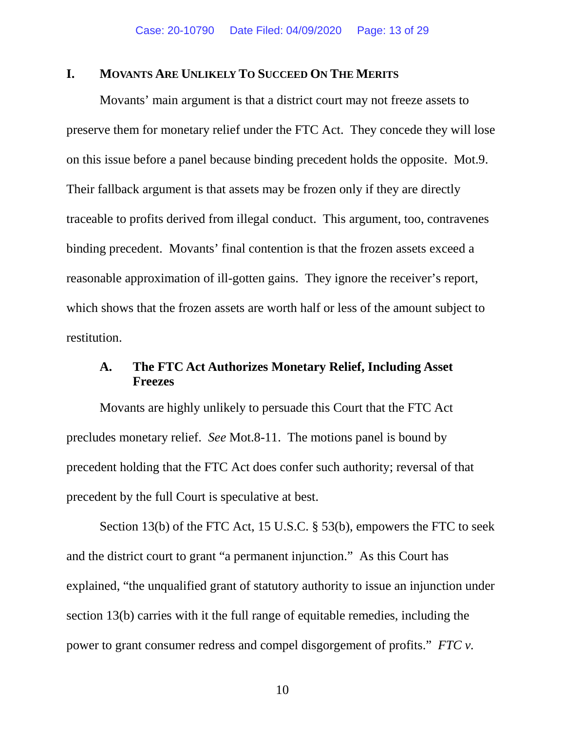### **I. MOVANTS ARE UNLIKELY TO SUCCEED ON THE MERITS**

Movants' main argument is that a district court may not freeze assets to preserve them for monetary relief under the FTC Act. They concede they will lose on this issue before a panel because binding precedent holds the opposite. Mot.9. Their fallback argument is that assets may be frozen only if they are directly traceable to profits derived from illegal conduct. This argument, too, contravenes binding precedent. Movants' final contention is that the frozen assets exceed a reasonable approximation of ill-gotten gains. They ignore the receiver's report, which shows that the frozen assets are worth half or less of the amount subject to restitution.

## **A. The FTC Act Authorizes Monetary Relief, Including Asset Freezes**

Movants are highly unlikely to persuade this Court that the FTC Act precludes monetary relief. *See* Mot.8-11. The motions panel is bound by precedent holding that the FTC Act does confer such authority; reversal of that precedent by the full Court is speculative at best.

Section 13(b) of the FTC Act, 15 U.S.C. § 53(b), empowers the FTC to seek and the district court to grant "a permanent injunction." As this Court has explained, "the unqualified grant of statutory authority to issue an injunction under section 13(b) carries with it the full range of equitable remedies, including the power to grant consumer redress and compel disgorgement of profits." *FTC v.*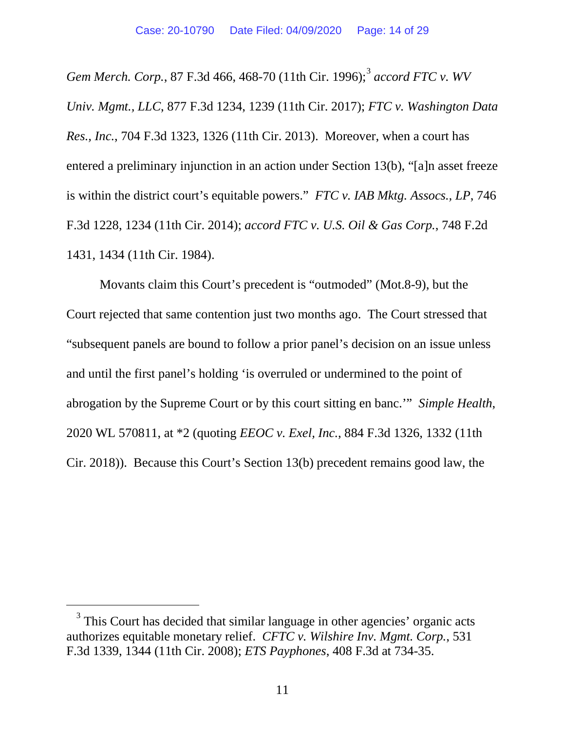*Gem Merch. Corp.*, 87 F.3d 466, 468-70 (11th Cir. 1996); [3](#page-13-0) *accord FTC v. WV Univ. Mgmt., LLC*, 877 F.3d 1234, 1239 (11th Cir. 2017); *FTC v. Washington Data Res., Inc.*, 704 F.3d 1323, 1326 (11th Cir. 2013). Moreover, when a court has entered a preliminary injunction in an action under Section 13(b), "[a]n asset freeze is within the district court's equitable powers." *FTC v. IAB Mktg. Assocs., LP*, 746 F.3d 1228, 1234 (11th Cir. 2014); *accord FTC v. U.S. Oil & Gas Corp.*, 748 F.2d 1431, 1434 (11th Cir. 1984).

Movants claim this Court's precedent is "outmoded" (Mot.8-9), but the Court rejected that same contention just two months ago. The Court stressed that "subsequent panels are bound to follow a prior panel's decision on an issue unless and until the first panel's holding 'is overruled or undermined to the point of abrogation by the Supreme Court or by this court sitting en banc.'" *Simple Health*, 2020 WL 570811, at \*2 (quoting *EEOC v. Exel, Inc.*, 884 F.3d 1326, 1332 (11th Cir. 2018)). Because this Court's Section 13(b) precedent remains good law, the

<span id="page-13-0"></span><sup>&</sup>lt;sup>3</sup> This Court has decided that similar language in other agencies' organic acts authorizes equitable monetary relief. *CFTC v. Wilshire Inv. Mgmt. Corp.*, 531 F.3d 1339, 1344 (11th Cir. 2008); *ETS Payphones*, 408 F.3d at 734-35.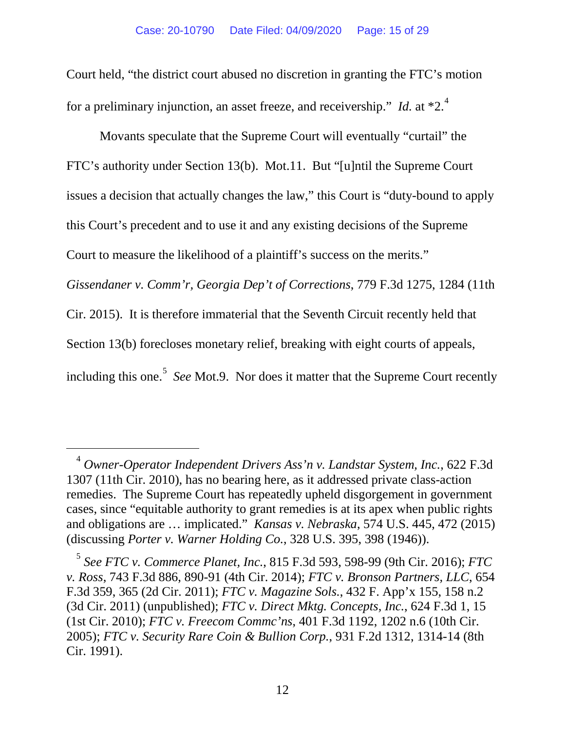Court held, "the district court abused no discretion in granting the FTC's motion for a preliminary injunction, an asset freeze, and receivership." *Id.* at \*2.<sup>[4](#page-14-0)</sup>

Movants speculate that the Supreme Court will eventually "curtail" the FTC's authority under Section 13(b). Mot.11. But "[u]ntil the Supreme Court issues a decision that actually changes the law," this Court is "duty-bound to apply this Court's precedent and to use it and any existing decisions of the Supreme Court to measure the likelihood of a plaintiff's success on the merits." *Gissendaner v. Comm'r, Georgia Dep't of Corrections*, 779 F.3d 1275, 1284 (11th Cir. 2015). It is therefore immaterial that the Seventh Circuit recently held that Section 13(b) forecloses monetary relief, breaking with eight courts of appeals, including this one.<sup>[5](#page-14-1)</sup> See Mot.9. Nor does it matter that the Supreme Court recently

<span id="page-14-0"></span> <sup>4</sup> *Owner-Operator Independent Drivers Ass'n v. Landstar System, Inc.*, 622 F.3d 1307 (11th Cir. 2010), has no bearing here, as it addressed private class-action remedies. The Supreme Court has repeatedly upheld disgorgement in government cases, since "equitable authority to grant remedies is at its apex when public rights and obligations are … implicated." *Kansas v. Nebraska*, 574 U.S. 445, 472 (2015) (discussing *Porter v. Warner Holding Co.*, 328 U.S. 395, 398 (1946)).

<span id="page-14-1"></span><sup>5</sup> *See FTC v. Commerce Planet, Inc.*, 815 F.3d 593, 598-99 (9th Cir. 2016); *FTC v. Ross*, 743 F.3d 886, 890-91 (4th Cir. 2014); *FTC v. Bronson Partners, LLC*, 654 F.3d 359, 365 (2d Cir. 2011); *FTC v. Magazine Sols.*, 432 F. App'x 155, 158 n.2 (3d Cir. 2011) (unpublished); *FTC v. Direct Mktg. Concepts, Inc.*, 624 F.3d 1, 15 (1st Cir. 2010); *FTC v. Freecom Commc'ns*, 401 F.3d 1192, 1202 n.6 (10th Cir. 2005); *FTC v. Security Rare Coin & Bullion Corp.*, 931 F.2d 1312, 1314-14 (8th Cir. 1991).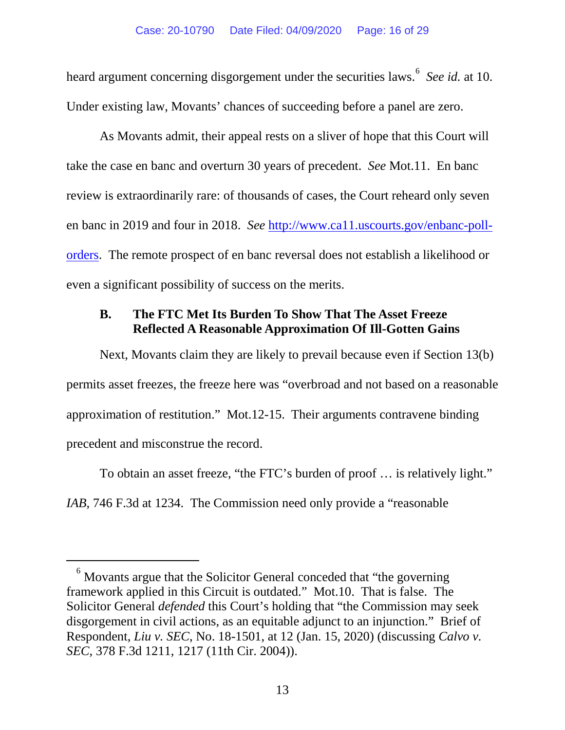heard argument concerning disgorgement under the securities laws. [6](#page-15-0) *See id.* at 10. Under existing law, Movants' chances of succeeding before a panel are zero.

As Movants admit, their appeal rests on a sliver of hope that this Court will take the case en banc and overturn 30 years of precedent. *See* Mot.11. En banc review is extraordinarily rare: of thousands of cases, the Court reheard only seven en banc in 2019 and four in 2018. *See* [http://www.ca11.uscourts.gov/enbanc-poll](http://www.ca11.uscourts.gov/enbanc-poll-orders)[orders.](http://www.ca11.uscourts.gov/enbanc-poll-orders) The remote prospect of en banc reversal does not establish a likelihood or even a significant possibility of success on the merits.

# **B. The FTC Met Its Burden To Show That The Asset Freeze Reflected A Reasonable Approximation Of Ill-Gotten Gains**

Next, Movants claim they are likely to prevail because even if Section 13(b) permits asset freezes, the freeze here was "overbroad and not based on a reasonable approximation of restitution." Mot.12-15. Their arguments contravene binding precedent and misconstrue the record.

To obtain an asset freeze, "the FTC's burden of proof … is relatively light." *IAB*, 746 F.3d at 1234. The Commission need only provide a "reasonable

<span id="page-15-0"></span> $6$  Movants argue that the Solicitor General conceded that "the governing framework applied in this Circuit is outdated." Mot.10. That is false. The Solicitor General *defended* this Court's holding that "the Commission may seek disgorgement in civil actions, as an equitable adjunct to an injunction." Brief of Respondent, *Liu v. SEC*, No. 18-1501, at 12 (Jan. 15, 2020) (discussing *Calvo v. SEC*, 378 F.3d 1211, 1217 (11th Cir. 2004)).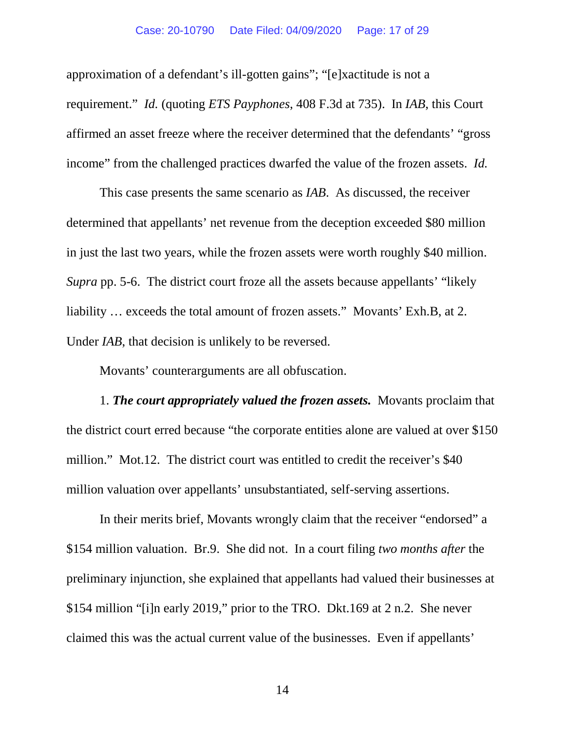approximation of a defendant's ill-gotten gains"; "[e]xactitude is not a requirement." *Id.* (quoting *ETS Payphones*, 408 F.3d at 735). In *IAB*, this Court affirmed an asset freeze where the receiver determined that the defendants' "gross income" from the challenged practices dwarfed the value of the frozen assets. *Id.*

This case presents the same scenario as *IAB*. As discussed, the receiver determined that appellants' net revenue from the deception exceeded \$80 million in just the last two years, while the frozen assets were worth roughly \$40 million. *Supra* pp. 5-6. The district court froze all the assets because appellants' "likely liability … exceeds the total amount of frozen assets." Movants' Exh.B, at 2. Under *IAB*, that decision is unlikely to be reversed.

Movants' counterarguments are all obfuscation.

1. *The court appropriately valued the frozen assets.* Movants proclaim that the district court erred because "the corporate entities alone are valued at over \$150 million." Mot.12. The district court was entitled to credit the receiver's \$40 million valuation over appellants' unsubstantiated, self-serving assertions.

In their merits brief, Movants wrongly claim that the receiver "endorsed" a \$154 million valuation. Br.9. She did not. In a court filing *two months after* the preliminary injunction, she explained that appellants had valued their businesses at \$154 million "[i]n early 2019," prior to the TRO. Dkt.169 at 2 n.2. She never claimed this was the actual current value of the businesses. Even if appellants'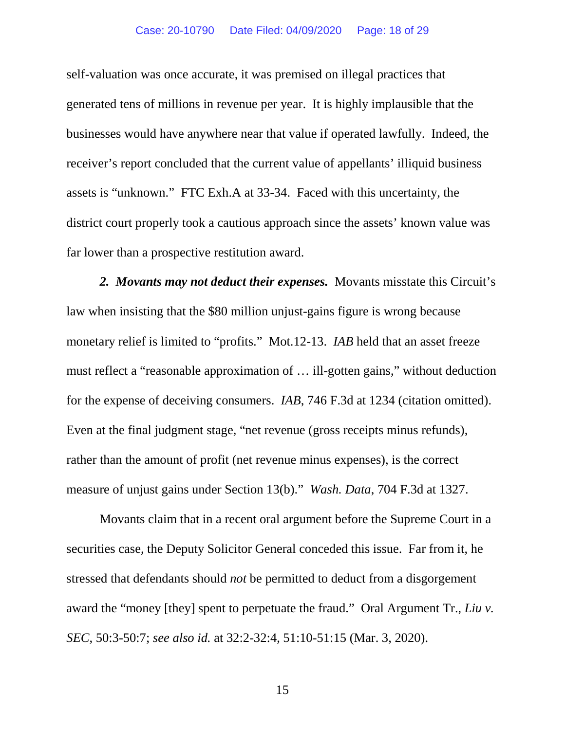self-valuation was once accurate, it was premised on illegal practices that generated tens of millions in revenue per year. It is highly implausible that the businesses would have anywhere near that value if operated lawfully. Indeed, the receiver's report concluded that the current value of appellants' illiquid business assets is "unknown." FTC Exh.A at 33-34. Faced with this uncertainty, the district court properly took a cautious approach since the assets' known value was far lower than a prospective restitution award.

*2. Movants may not deduct their expenses.* Movants misstate this Circuit's law when insisting that the \$80 million unjust-gains figure is wrong because monetary relief is limited to "profits." Mot.12-13. *IAB* held that an asset freeze must reflect a "reasonable approximation of … ill-gotten gains," without deduction for the expense of deceiving consumers. *IAB*, 746 F.3d at 1234 (citation omitted). Even at the final judgment stage, "net revenue (gross receipts minus refunds), rather than the amount of profit (net revenue minus expenses), is the correct measure of unjust gains under Section 13(b)." *Wash. Data*, 704 F.3d at 1327.

Movants claim that in a recent oral argument before the Supreme Court in a securities case, the Deputy Solicitor General conceded this issue. Far from it, he stressed that defendants should *not* be permitted to deduct from a disgorgement award the "money [they] spent to perpetuate the fraud." Oral Argument Tr., *Liu v. SEC*, 50:3-50:7; *see also id.* at 32:2-32:4, 51:10-51:15 (Mar. 3, 2020).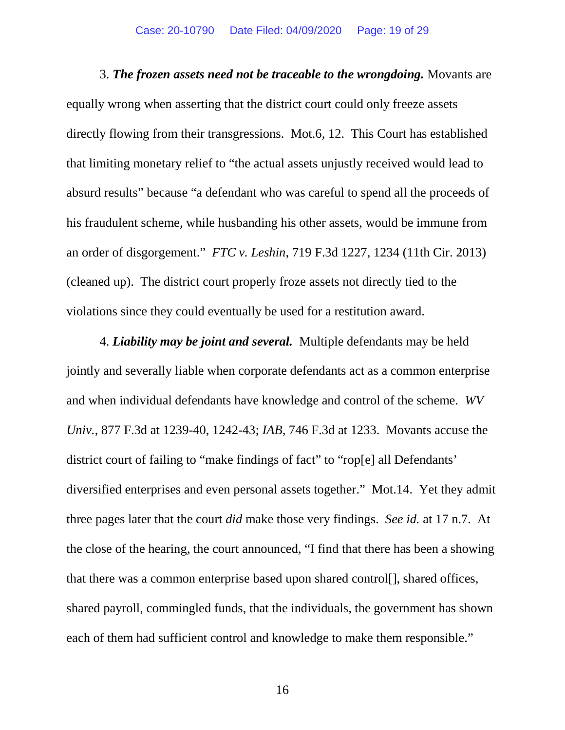3. *The frozen assets need not be traceable to the wrongdoing.* Movants are equally wrong when asserting that the district court could only freeze assets directly flowing from their transgressions. Mot.6, 12. This Court has established that limiting monetary relief to "the actual assets unjustly received would lead to absurd results" because "a defendant who was careful to spend all the proceeds of his fraudulent scheme, while husbanding his other assets, would be immune from an order of disgorgement." *FTC v. Leshin*, 719 F.3d 1227, 1234 (11th Cir. 2013) (cleaned up). The district court properly froze assets not directly tied to the violations since they could eventually be used for a restitution award.

4. *Liability may be joint and several.* Multiple defendants may be held jointly and severally liable when corporate defendants act as a common enterprise and when individual defendants have knowledge and control of the scheme. *WV Univ.*, 877 F.3d at 1239-40, 1242-43; *IAB*, 746 F.3d at 1233. Movants accuse the district court of failing to "make findings of fact" to "rop[e] all Defendants' diversified enterprises and even personal assets together." Mot.14. Yet they admit three pages later that the court *did* make those very findings. *See id.* at 17 n.7. At the close of the hearing, the court announced, "I find that there has been a showing that there was a common enterprise based upon shared control[], shared offices, shared payroll, commingled funds, that the individuals, the government has shown each of them had sufficient control and knowledge to make them responsible."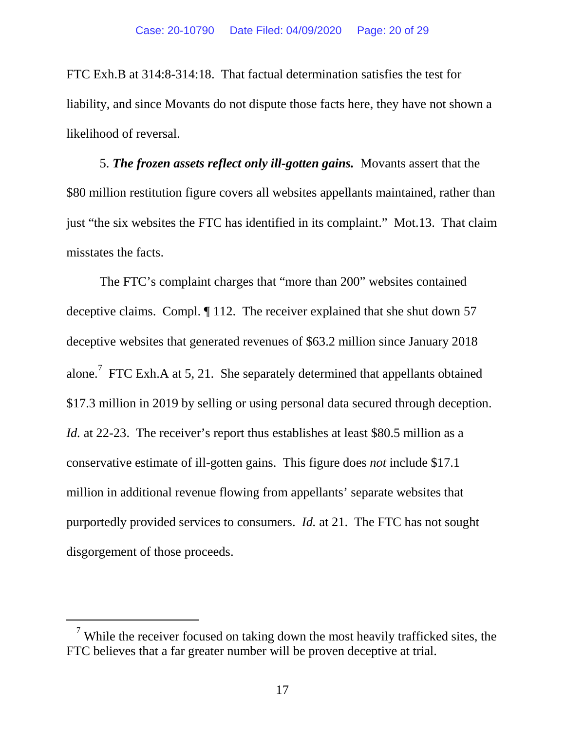FTC Exh.B at 314:8-314:18. That factual determination satisfies the test for liability, and since Movants do not dispute those facts here, they have not shown a likelihood of reversal.

5. *The frozen assets reflect only ill-gotten gains.* Movants assert that the \$80 million restitution figure covers all websites appellants maintained, rather than just "the six websites the FTC has identified in its complaint." Mot.13. That claim misstates the facts.

The FTC's complaint charges that "more than 200" websites contained deceptive claims. Compl. ¶ 112. The receiver explained that she shut down 57 deceptive websites that generated revenues of \$63.2 million since January 2018 alone.<sup>[7](#page-19-0)</sup> FTC Exh.A at 5, 21. She separately determined that appellants obtained \$17.3 million in 2019 by selling or using personal data secured through deception. *Id.* at 22-23. The receiver's report thus establishes at least \$80.5 million as a conservative estimate of ill-gotten gains. This figure does *not* include \$17.1 million in additional revenue flowing from appellants' separate websites that purportedly provided services to consumers. *Id.* at 21. The FTC has not sought disgorgement of those proceeds.

<span id="page-19-0"></span> $\alpha$ <sup>7</sup> While the receiver focused on taking down the most heavily trafficked sites, the FTC believes that a far greater number will be proven deceptive at trial.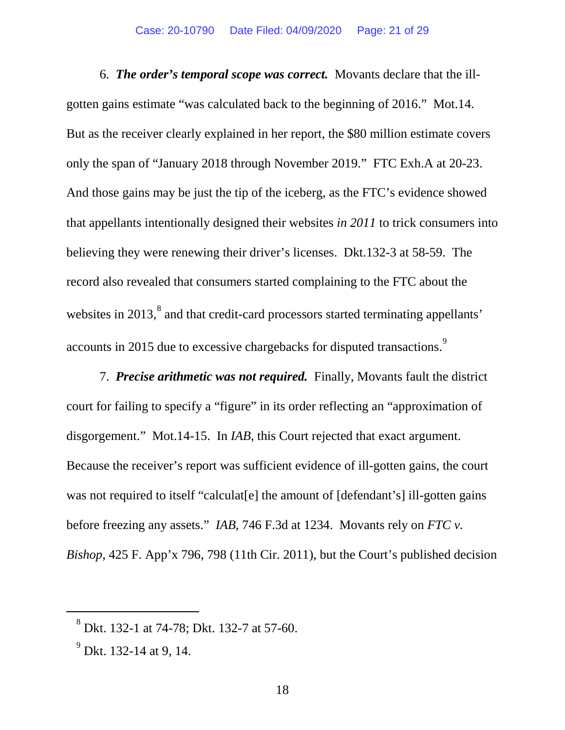6. *The order's temporal scope was correct.* Movants declare that the illgotten gains estimate "was calculated back to the beginning of 2016." Mot.14. But as the receiver clearly explained in her report, the \$80 million estimate covers only the span of "January 2018 through November 2019." FTC Exh.A at 20-23. And those gains may be just the tip of the iceberg, as the FTC's evidence showed that appellants intentionally designed their websites *in 2011* to trick consumers into believing they were renewing their driver's licenses. Dkt.132-3 at 58-59. The record also revealed that consumers started complaining to the FTC about the websites in 2013,<sup>[8](#page-20-0)</sup> and that credit-card processors started terminating appellants' accounts in 2015 due to excessive chargebacks for disputed transactions.<sup>[9](#page-20-1)</sup>

7. *Precise arithmetic was not required.* Finally, Movants fault the district court for failing to specify a "figure" in its order reflecting an "approximation of disgorgement." Mot.14-15. In *IAB*, this Court rejected that exact argument. Because the receiver's report was sufficient evidence of ill-gotten gains, the court was not required to itself "calculat [e] the amount of [defendant's] ill-gotten gains before freezing any assets." *IAB*, 746 F.3d at 1234. Movants rely on *FTC v. Bishop*, 425 F. App'x 796, 798 (11th Cir. 2011), but the Court's published decision

<span id="page-20-0"></span> $8^8$  Dkt. 132-1 at 74-78; Dkt. 132-7 at 57-60.

<span id="page-20-1"></span><sup>&</sup>lt;sup>9</sup> Dkt. 132-14 at 9, 14.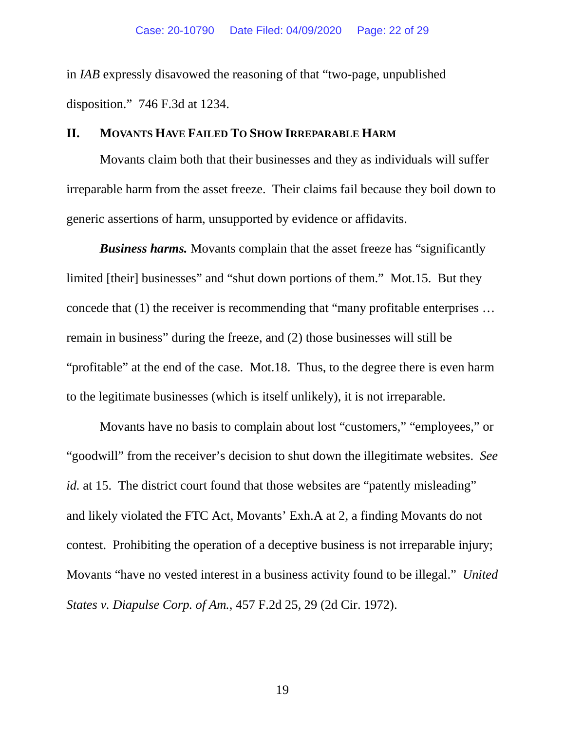in *IAB* expressly disavowed the reasoning of that "two-page, unpublished disposition." 746 F.3d at 1234.

### **II. MOVANTS HAVE FAILED TO SHOW IRREPARABLE HARM**

Movants claim both that their businesses and they as individuals will suffer irreparable harm from the asset freeze. Their claims fail because they boil down to generic assertions of harm, unsupported by evidence or affidavits.

*Business harms.* Movants complain that the asset freeze has "significantly limited [their] businesses" and "shut down portions of them." Mot.15. But they concede that (1) the receiver is recommending that "many profitable enterprises … remain in business" during the freeze, and (2) those businesses will still be "profitable" at the end of the case. Mot.18. Thus, to the degree there is even harm to the legitimate businesses (which is itself unlikely), it is not irreparable.

Movants have no basis to complain about lost "customers," "employees," or "goodwill" from the receiver's decision to shut down the illegitimate websites. *See id.* at 15. The district court found that those websites are "patently misleading" and likely violated the FTC Act, Movants' Exh.A at 2, a finding Movants do not contest. Prohibiting the operation of a deceptive business is not irreparable injury; Movants "have no vested interest in a business activity found to be illegal." *United States v. Diapulse Corp. of Am.*, 457 F.2d 25, 29 (2d Cir. 1972).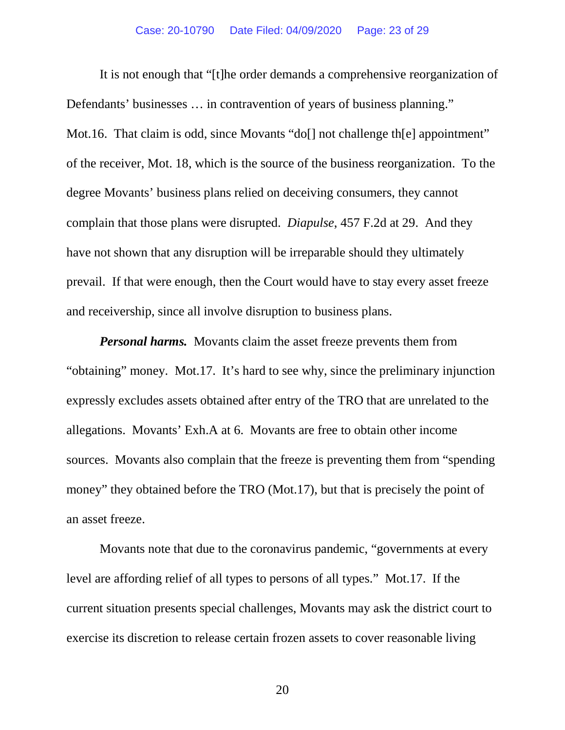It is not enough that "[t]he order demands a comprehensive reorganization of Defendants' businesses ... in contravention of years of business planning." Mot.16. That claim is odd, since Movants "do[] not challenge th[e] appointment" of the receiver, Mot. 18, which is the source of the business reorganization. To the degree Movants' business plans relied on deceiving consumers, they cannot complain that those plans were disrupted. *Diapulse*, 457 F.2d at 29. And they have not shown that any disruption will be irreparable should they ultimately prevail. If that were enough, then the Court would have to stay every asset freeze and receivership, since all involve disruption to business plans.

*Personal harms.* Movants claim the asset freeze prevents them from "obtaining" money. Mot.17. It's hard to see why, since the preliminary injunction expressly excludes assets obtained after entry of the TRO that are unrelated to the allegations. Movants' Exh.A at 6. Movants are free to obtain other income sources. Movants also complain that the freeze is preventing them from "spending money" they obtained before the TRO (Mot.17), but that is precisely the point of an asset freeze.

Movants note that due to the coronavirus pandemic, "governments at every level are affording relief of all types to persons of all types." Mot.17. If the current situation presents special challenges, Movants may ask the district court to exercise its discretion to release certain frozen assets to cover reasonable living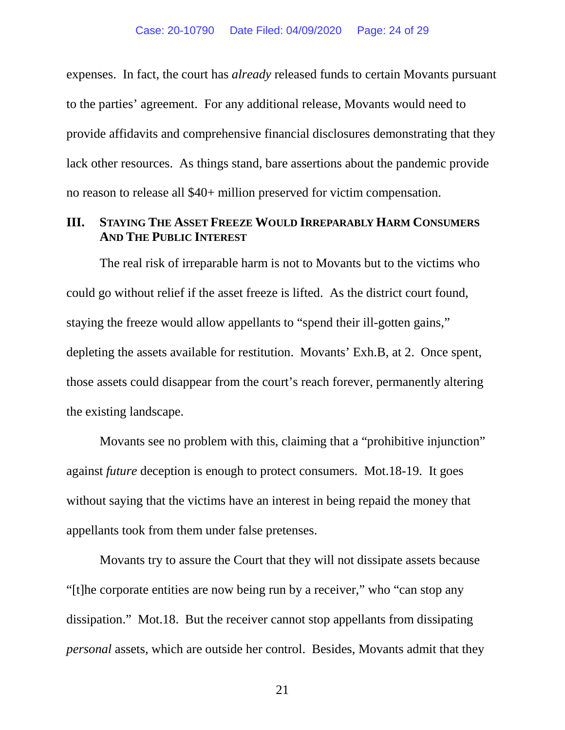expenses. In fact, the court has *already* released funds to certain Movants pursuant to the parties' agreement. For any additional release, Movants would need to provide affidavits and comprehensive financial disclosures demonstrating that they lack other resources. As things stand, bare assertions about the pandemic provide no reason to release all \$40+ million preserved for victim compensation.

## **III. STAYING THE ASSET FREEZE WOULD IRREPARABLY HARM CONSUMERS AND THE PUBLIC INTEREST**

The real risk of irreparable harm is not to Movants but to the victims who could go without relief if the asset freeze is lifted. As the district court found, staying the freeze would allow appellants to "spend their ill-gotten gains," depleting the assets available for restitution. Movants' Exh.B, at 2. Once spent, those assets could disappear from the court's reach forever, permanently altering the existing landscape.

Movants see no problem with this, claiming that a "prohibitive injunction" against *future* deception is enough to protect consumers. Mot.18-19. It goes without saying that the victims have an interest in being repaid the money that appellants took from them under false pretenses.

Movants try to assure the Court that they will not dissipate assets because "[t]he corporate entities are now being run by a receiver," who "can stop any dissipation." Mot.18. But the receiver cannot stop appellants from dissipating *personal* assets, which are outside her control. Besides, Movants admit that they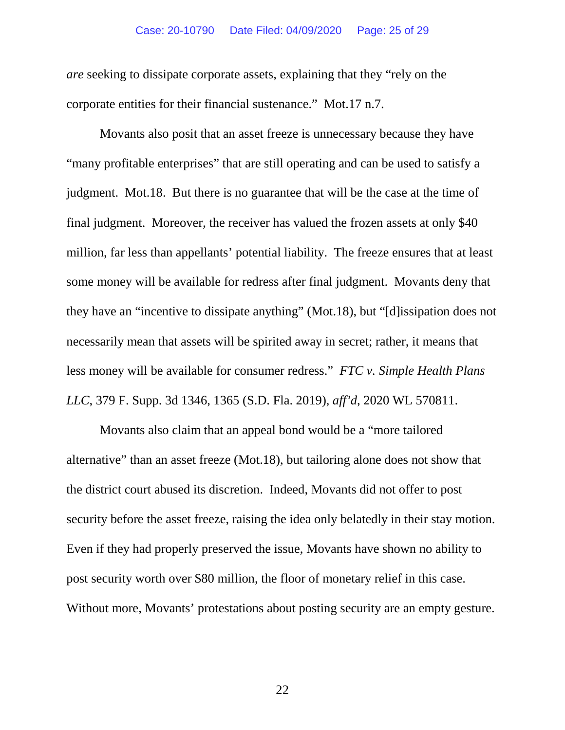#### Case: 20-10790 Date Filed: 04/09/2020 Page: 25 of 29

*are* seeking to dissipate corporate assets, explaining that they "rely on the corporate entities for their financial sustenance." Mot.17 n.7.

Movants also posit that an asset freeze is unnecessary because they have "many profitable enterprises" that are still operating and can be used to satisfy a judgment. Mot.18. But there is no guarantee that will be the case at the time of final judgment. Moreover, the receiver has valued the frozen assets at only \$40 million, far less than appellants' potential liability. The freeze ensures that at least some money will be available for redress after final judgment. Movants deny that they have an "incentive to dissipate anything" (Mot.18), but "[d]issipation does not necessarily mean that assets will be spirited away in secret; rather, it means that less money will be available for consumer redress." *FTC v. Simple Health Plans LLC*, 379 F. Supp. 3d 1346, 1365 (S.D. Fla. 2019), *aff'd*, 2020 WL 570811.

Movants also claim that an appeal bond would be a "more tailored alternative" than an asset freeze (Mot.18), but tailoring alone does not show that the district court abused its discretion. Indeed, Movants did not offer to post security before the asset freeze, raising the idea only belatedly in their stay motion. Even if they had properly preserved the issue, Movants have shown no ability to post security worth over \$80 million, the floor of monetary relief in this case. Without more, Movants' protestations about posting security are an empty gesture.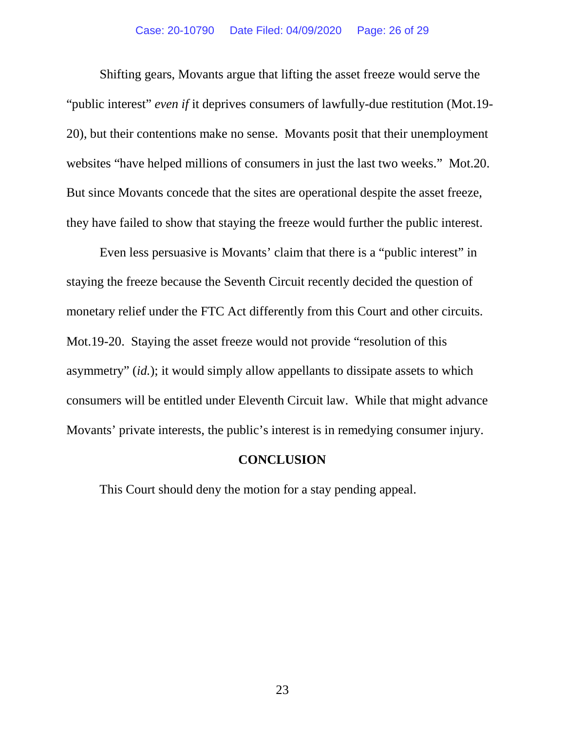Shifting gears, Movants argue that lifting the asset freeze would serve the "public interest" *even if* it deprives consumers of lawfully-due restitution (Mot.19- 20), but their contentions make no sense. Movants posit that their unemployment websites "have helped millions of consumers in just the last two weeks." Mot.20. But since Movants concede that the sites are operational despite the asset freeze, they have failed to show that staying the freeze would further the public interest.

Even less persuasive is Movants' claim that there is a "public interest" in staying the freeze because the Seventh Circuit recently decided the question of monetary relief under the FTC Act differently from this Court and other circuits. Mot.19-20. Staying the asset freeze would not provide "resolution of this asymmetry" (*id.*); it would simply allow appellants to dissipate assets to which consumers will be entitled under Eleventh Circuit law. While that might advance Movants' private interests, the public's interest is in remedying consumer injury.

### **CONCLUSION**

This Court should deny the motion for a stay pending appeal.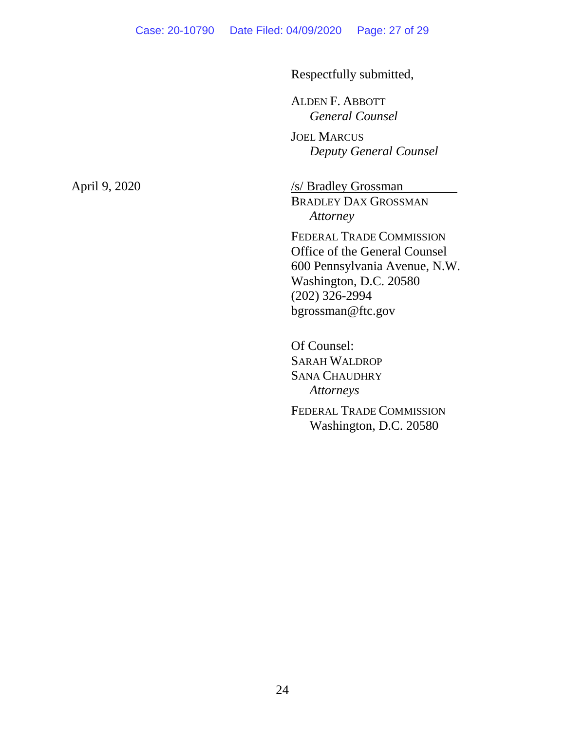Respectfully submitted,

ALDEN F. ABBOTT *General Counsel*

JOEL MARCUS *Deputy General Counsel*

April 9, 2020 /s/ Bradley Grossman BRADLEY DAX GROSSMAN *Attorney*

> FEDERAL TRADE COMMISSION Office of the General Counsel 600 Pennsylvania Avenue, N.W. Washington, D.C. 20580 (202) 326-2994 bgrossman@ftc.gov

Of Counsel: SARAH WALDROP SANA CHAUDHRY *Attorneys* FEDERAL TRADE COMMISSION Washington, D.C. 20580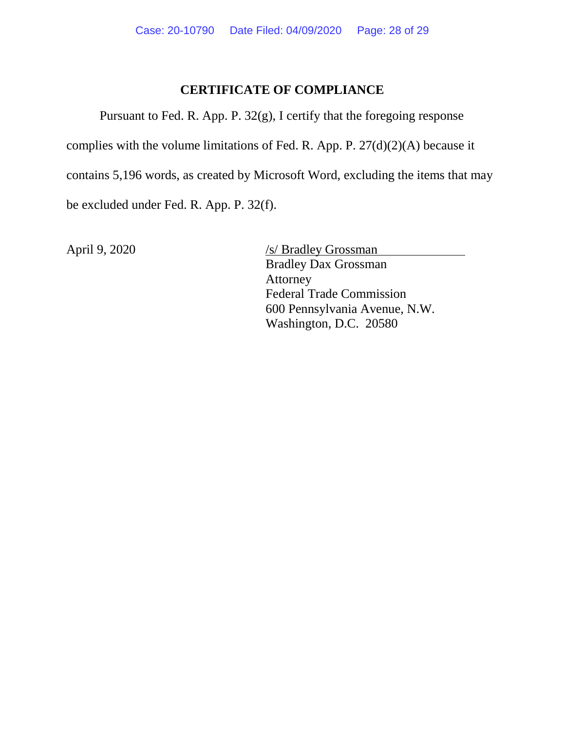# **CERTIFICATE OF COMPLIANCE**

Pursuant to Fed. R. App. P. 32(g), I certify that the foregoing response

complies with the volume limitations of Fed. R. App. P. 27(d)(2)(A) because it

contains 5,196 words, as created by Microsoft Word, excluding the items that may

be excluded under Fed. R. App. P. 32(f).

April 9, 2020 /s/ Bradley Grossman Bradley Dax Grossman Attorney Federal Trade Commission 600 Pennsylvania Avenue, N.W. Washington, D.C. 20580